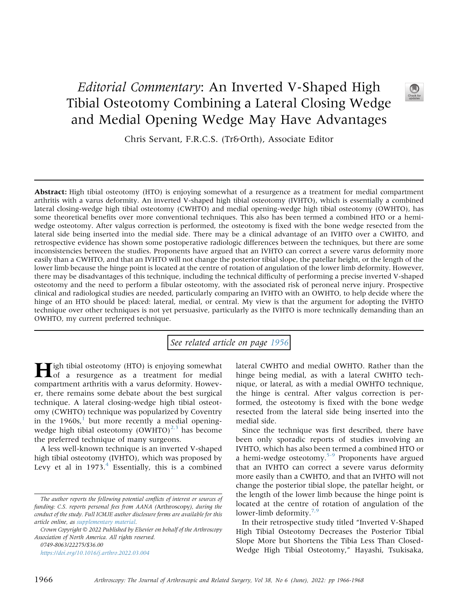## Editorial Commentary: An Inverted V-Shaped High Tibial Osteotomy Combining a Lateral Closing Wedge and Medial Opening Wedge May Have Advantages



Chris Servant, F.R.C.S. (Tr&Orth), Associate Editor

Abstract: High tibial osteotomy (HTO) is enjoying somewhat of a resurgence as a treatment for medial compartment arthritis with a varus deformity. An inverted V-shaped high tibial osteotomy (IVHTO), which is essentially a combined lateral closing-wedge high tibial osteotomy (CWHTO) and medial opening-wedge high tibial osteotomy (OWHTO), has some theoretical benefits over more conventional techniques. This also has been termed a combined HTO or a hemiwedge osteotomy. After valgus correction is performed, the osteotomy is fixed with the bone wedge resected from the lateral side being inserted into the medial side. There may be a clinical advantage of an IVHTO over a CWHTO, and retrospective evidence has shown some postoperative radiologic differences between the techniques, but there are some inconsistencies between the studies. Proponents have argued that an IVHTO can correct a severe varus deformity more easily than a CWHTO, and that an IVHTO will not change the posterior tibial slope, the patellar height, or the length of the lower limb because the hinge point is located at the centre of rotation of angulation of the lower limb deformity. However, there may be disadvantages of this technique, including the technical difficulty of performing a precise inverted V-shaped osteotomy and the need to perform a fibular osteotomy, with the associated risk of peroneal nerve injury. Prospective clinical and radiological studies are needed, particularly comparing an IVHTO with an OWHTO, to help decide where the hinge of an HTO should be placed: lateral, medial, or central. My view is that the argument for adopting the IVHTO technique over other techniques is not yet persuasive, particularly as the IVHTO is more technically demanding than an OWHTO, my current preferred technique.

See related article on page [1956](http://www.arthroscopyjournal.org/article/S0749-8063(21)01096-3/abstract)

High tibial osteotomy (HTO) is enjoying somewhat of a resurgence as a treatment for medial compartment arthritis with a varus deformity. However, there remains some debate about the best surgical technique. A lateral closing-wedge high tibial osteotomy (CWHTO) technique was popularized by Coventry in the  $1960s$  $1960s$ ,<sup>1</sup> but more recently a medial openingwedge high tibial osteotomy  $(OWHTO)^{2,3}$  $(OWHTO)^{2,3}$  $(OWHTO)^{2,3}$  has become the preferred technique of many surgeons.

A less well-known technique is an inverted V-shaped high tibial osteotomy (IVHTO), which was proposed by Levy et al in  $1973<sup>4</sup>$  $1973<sup>4</sup>$  $1973<sup>4</sup>$  Essentially, this is a combined

<https://doi.org/10.1016/j.arthro.2022.03.004>

lateral CWHTO and medial OWHTO. Rather than the hinge being medial, as with a lateral CWHTO technique, or lateral, as with a medial OWHTO technique, the hinge is central. After valgus correction is performed, the osteotomy is fixed with the bone wedge resected from the lateral side being inserted into the medial side.

Since the technique was first described, there have been only sporadic reports of studies involving an IVHTO, which has also been termed a combined HTO or a hemi-wedge osteotomy.<sup>[5-9](#page-2-0)</sup> Proponents have argued that an IVHTO can correct a severe varus deformity more easily than a CWHTO, and that an IVHTO will not change the posterior tibial slope, the patellar height, or the length of the lower limb because the hinge point is located at the centre of rotation of angulation of the lower-limb deformity.<sup>[7,9](#page-2-1)</sup>

In their retrospective study titled "Inverted V-Shaped High Tibial Osteotomy Decreases the Posterior Tibial Slope More but Shortens the Tibia Less Than Closed-Wedge High Tibial Osteotomy," Hayashi, Tsukisaka,

The author reports the following potential conflicts of interest or sources of funding: C.S. reports personal fees from AANA (Arthroscopy), during the conduct of the study. Full ICMJE author disclosure forms are available for this article online, as supplementary material.

Crown Copyright  $\odot$  2022 Published by Elsevier on behalf of the Arthroscopy Association of North America. All rights reserved. 0749-8063/22275/\$36.00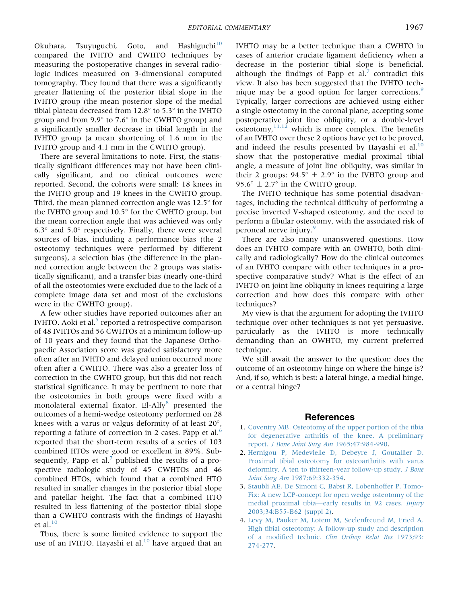Okuhara, Tsuyuguchi, Goto, and Hashiguchi<sup>[10](#page-2-2)</sup> compared the IVHTO and CWHTO techniques by measuring the postoperative changes in several radiologic indices measured on 3-dimensional computed tomography. They found that there was a significantly greater flattening of the posterior tibial slope in the IVHTO group (the mean posterior slope of the medial tibial plateau decreased from  $12.8^\circ$  to  $5.3^\circ$  in the IVHTO group and from 9.9 $\degree$  to 7.6 $\degree$  in the CWHTO group) and a significantly smaller decrease in tibial length in the IVHTO group (a mean shortening of 1.6 mm in the IVHTO group and 4.1 mm in the CWHTO group).

There are several limitations to note. First, the statistically significant differences may not have been clinically significant, and no clinical outcomes were reported. Second, the cohorts were small: 18 knees in the IVHTO group and 19 knees in the CWHTO group. Third, the mean planned correction angle was  $12.5^{\circ}$  for the IVHTO group and  $10.5^\circ$  for the CWHTO group, but the mean correction angle that was achieved was only  $6.3^{\circ}$  and  $5.0^{\circ}$  respectively. Finally, there were several sources of bias, including a performance bias (the 2 osteotomy techniques were performed by different surgeons), a selection bias (the difference in the planned correction angle between the 2 groups was statistically significant), and a transfer bias (nearly one-third of all the osteotomies were excluded due to the lack of a complete image data set and most of the exclusions were in the CWHTO group).

A few other studies have reported outcomes after an IVHTO. Aoki et al. $<sup>5</sup>$  $<sup>5</sup>$  $<sup>5</sup>$  reported a retrospective comparison</sup> of 48 IVHTOs and 56 CWHTOs at a minimum follow-up of 10 years and they found that the Japanese Orthopaedic Association score was graded satisfactory more often after an IVHTO and delayed union occurred more often after a CWHTO. There was also a greater loss of correction in the CWHTO group, but this did not reach statistical significance. It may be pertinent to note that the osteotomies in both groups were fixed with a monolateral external fixator. El-Alfy<sup>[8](#page-2-3)</sup> presented the outcomes of a hemi-wedge osteotomy performed on 28 knees with a varus or valgus deformity of at least  $20^{\circ}$ , reporting a failure of correction in 2 cases. Papp et al.[6](#page-2-4) reported that the short-term results of a series of 103 combined HTOs were good or excellent in 89%. Sub-sequently, Papp et al.<sup>[7](#page-2-1)</sup> published the results of a prospective radiologic study of 45 CWHTOs and 46 combined HTOs, which found that a combined HTO resulted in smaller changes in the posterior tibial slope and patellar height. The fact that a combined HTO resulted in less flattening of the posterior tibial slope than a CWHTO contrasts with the findings of Hayashi et al. $10$ 

Thus, there is some limited evidence to support the use of an IVHTO. Hayashi et al. $^{10}$  $^{10}$  $^{10}$  have argued that an IVHTO may be a better technique than a CWHTO in cases of anterior cruciate ligament deficiency when a decrease in the posterior tibial slope is beneficial, although the findings of Papp et al.<sup>[7](#page-2-1)</sup> contradict this view. It also has been suggested that the IVHTO tech-nique may be a good option for larger corrections.<sup>[9](#page-2-5)</sup> Typically, larger corrections are achieved using either a single osteotomy in the coronal plane, accepting some postoperative joint line obliquity, or a double-level osteotomy, $11,12$  which is more complex. The benefits of an IVHTO over these 2 options have yet to be proved, and indeed the results presented by Hayashi et al. $^{10}$  $^{10}$  $^{10}$ show that the postoperative medial proximal tibial angle, a measure of joint line obliquity, was similar in their 2 groups:  $94.5^{\circ} \pm 2.9^{\circ}$  in the IVHTO group and 95.6 $\degree$  ± 2.7 $\degree$  in the CWHTO group.

The IVHTO technique has some potential disadvantages, including the technical difficulty of performing a precise inverted V-shaped osteotomy, and the need to perform a fibular osteotomy, with the associated risk of peroneal nerve injury.<sup>[9](#page-2-5)</sup>

There are also many unanswered questions. How does an IVHTO compare with an OWHTO, both clinically and radiologically? How do the clinical outcomes of an IVHTO compare with other techniques in a prospective comparative study? What is the effect of an IVHTO on joint line obliquity in knees requiring a large correction and how does this compare with other techniques?

My view is that the argument for adopting the IVHTO technique over other techniques is not yet persuasive, particularly as the IVHTO is more technically demanding than an OWHTO, my current preferred technique.

We still await the answer to the question: does the outcome of an osteotomy hinge on where the hinge is? And, if so, which is best: a lateral hinge, a medial hinge, or a central hinge?

## **References**

- <span id="page-1-0"></span>1. [Coventry MB. Osteotomy of the upper portion of the tibia](http://refhub.elsevier.com/S0749-8063(22)00151-7/sref1) [for degenerative arthritis of the knee. A preliminary](http://refhub.elsevier.com/S0749-8063(22)00151-7/sref1) report. [J Bone Joint Surg Am](http://refhub.elsevier.com/S0749-8063(22)00151-7/sref1) 1965;47:984-990.
- <span id="page-1-1"></span>2. [Hernigou P, Medevielle D, Debeyre J, Goutallier D.](http://refhub.elsevier.com/S0749-8063(22)00151-7/sref2) [Proximal tibial osteotomy for osteoarthritis with varus](http://refhub.elsevier.com/S0749-8063(22)00151-7/sref2) [deformity. A ten to thirteen-year follow-up study.](http://refhub.elsevier.com/S0749-8063(22)00151-7/sref2) J Bone Joint Surg Am [1987;69:332-354](http://refhub.elsevier.com/S0749-8063(22)00151-7/sref2).
- 3. [Staubli AE, De Simoni C, Babst R, Lobenhoffer P. Tomo-](http://refhub.elsevier.com/S0749-8063(22)00151-7/sref3)[Fix: A new LCP-concept for open wedge osteotomy of the](http://refhub.elsevier.com/S0749-8063(22)00151-7/sref3) [medial proximal tibia](http://refhub.elsevier.com/S0749-8063(22)00151-7/sref3)-[early results in 92 cases.](http://refhub.elsevier.com/S0749-8063(22)00151-7/sref3) Injury [2003;34:B55-B62 \(suppl 2\)](http://refhub.elsevier.com/S0749-8063(22)00151-7/sref3).
- <span id="page-1-2"></span>4. [Levy M, Pauker M, Lotem M, Seelenfreund M, Fried A.](http://refhub.elsevier.com/S0749-8063(22)00151-7/sref4) [High tibial osteotomy: A follow-up study and description](http://refhub.elsevier.com/S0749-8063(22)00151-7/sref4) of a modified technic. [Clin Orthop Relat Res](http://refhub.elsevier.com/S0749-8063(22)00151-7/sref4) 1973;93: [274-277.](http://refhub.elsevier.com/S0749-8063(22)00151-7/sref4)